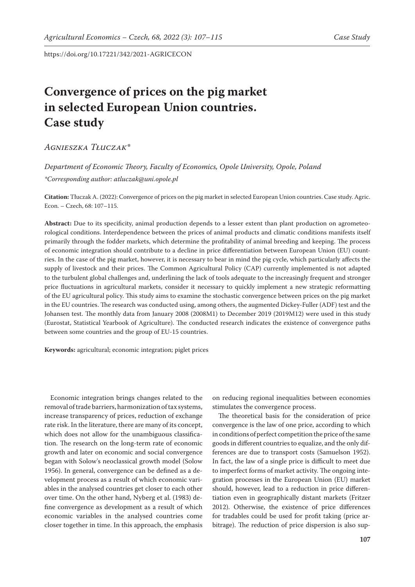# **Convergence of prices on the pig market in selected European Union countries. Case study**

# *Agnieszka Tłuczak\**

# *Department of Economic Theory, Faculty of Economics, Opole University, Opole, Poland \*Corresponding author: atluczak@uni.opole.pl*

**Citation:** Tłuczak A. (2022): Convergence of prices on the pig market in selected European Union countries. Case study. Agric. Econ. – Czech, 68: 107–115.

**Abstract:** Due to its specificity, animal production depends to a lesser extent than plant production on agrometeorological conditions. Interdependence between the prices of animal products and climatic conditions manifests itself primarily through the fodder markets, which determine the profitability of animal breeding and keeping. The process of economic integration should contribute to a decline in price differentiation between European Union (EU) countries. In the case of the pig market, however, it is necessary to bear in mind the pig cycle, which particularly affects the supply of livestock and their prices. The Common Agricultural Policy (CAP) currently implemented is not adapted to the turbulent global challenges and, underlining the lack of tools adequate to the increasingly frequent and stronger price fluctuations in agricultural markets, consider it necessary to quickly implement a new strategic reformatting of the EU agricultural policy. This study aims to examine the stochastic convergence between prices on the pig market in the EU countries. The research was conducted using, among others, the augmented Dickey-Fuller (ADF) test and the Johansen test. The monthly data from January 2008 (2008M1) to December 2019 (2019M12) were used in this study (Eurostat, Statistical Yearbook of Agriculture). The conducted research indicates the existence of convergence paths between some countries and the group of EU-15 countries.

**Keywords:** agricultural; economic integration; piglet prices

Economic integration brings changes related to the removal of trade barriers, harmonization of tax systems, increase transparency of prices, reduction of exchange rate risk. In the literature, there are many of its concept, which does not allow for the unambiguous classification. The research on the long-term rate of economic growth and later on economic and social convergence began with Solow's neoclassical growth model (Solow 1956). In general, convergence can be defined as a development process as a result of which economic variables in the analysed countries get closer to each other over time. On the other hand, Nyberg et al. (1983) define convergence as development as a result of which economic variables in the analysed countries come closer together in time. In this approach, the emphasis on reducing regional inequalities between economies stimulates the convergence process.

The theoretical basis for the consideration of price convergence is the law of one price, according to which in conditions of perfect competition the price of the same goods in different countries to equalize, and the only differences are due to transport costs (Samuelson 1952). In fact, the law of a single price is difficult to meet due to imperfect forms of market activity. The ongoing integration processes in the European Union (EU) market should, however, lead to a reduction in price differentiation even in geographically distant markets (Fritzer 2012). Otherwise, the existence of price differences for tradables could be used for profit taking (price arbitrage). The reduction of price dispersion is also sup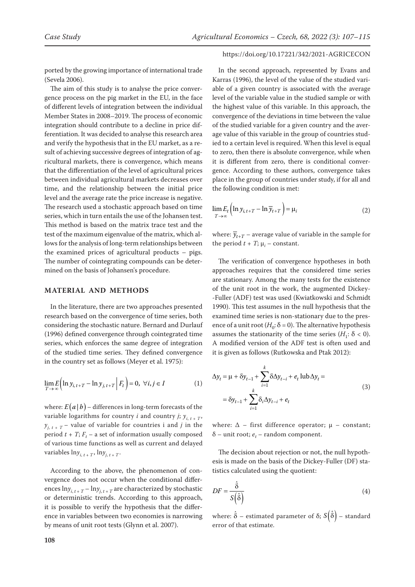ported by the growing importance of international trade (Sevela 2006).

The aim of this study is to analyse the price convergence process on the pig market in the EU, in the face of different levels of integration between the individual Member States in 2008–2019. The process of economic integration should contribute to a decline in price differentiation. It was decided to analyse this research area and verify the hypothesis that in the EU market, as a result of achieving successive degrees of integration of agricultural markets, there is convergence, which means that the differentiation of the level of agricultural prices between individual agricultural markets decreases over time, and the relationship between the initial price level and the average rate the price increase is negative. The research used a stochastic approach based on time series, which in turn entails the use of the Johansen test. This method is based on the matrix trace test and the test of the maximum eigenvalue of the matrix, which allows for the analysis of long-term relationships between the examined prices of agricultural products – pigs. The number of cointegrating compounds can be determined on the basis of Johansen's procedure.

#### **MATERIAL AND METHODS**

In the literature, there are two approaches presented research based on the convergence of time series, both considering the stochastic nature. Bernard and Durlauf (1996) defined convergence through cointegrated time series, which enforces the same degree of integration of the studied time series. They defined convergence in the country set as follows (Meyer et al. 1975):

$$
\lim_{T \to \infty} E\Big(\ln y_{i, t+T} - \ln y_{j, t+T} \Big| F_t \Big) = 0, \ \forall i, j \in I
$$
 (1)

where:  $E(a | b)$  – differences in long-term forecasts of the variable logarithms for country *i* and country *j*;  $y_{i,t+T}$ ,  $y_{i,t+T}$  – value of variable for countries i and *j* in the period  $t + T$ ;  $F_t$  – a set of information usually composed of various time functions as well as current and delayed variables  $\ln y_{i, t+T}$ ,  $\ln y_{i, t+T}$ .

According to the above, the phenomenon of convergence does not occur when the conditional differences  $\ln y_{i, t+T} - \ln y_{i, t+T}$  are characterized by stochastic or deterministic trends. According to this approach, it is possible to verify the hypothesis that the difference in variables between two economies is narrowing by means of unit root tests (Glynn et al. 2007).

#### https://doi.org/10.17221/342/2021-AGRICECON

In the second approach, represented by Evans and Karras (1996), the level of the value of the studied variable of a given country is associated with the average level of the variable value in the studied sample or with the highest value of this variable. In this approach, the convergence of the deviations in time between the value of the studied variable for a given country and the average value of this variable in the group of countries studied to a certain level is required. When this level is equal to zero, then there is absolute convergence, while when it is different from zero, there is conditional convergence. According to these authors, convergence takes place in the group of countries under study, if for all and the following condition is met:

$$
\lim_{T \to \infty} E_t \left( \ln y_{i, t+T} - \ln \overline{y}_{t+T} \right) = \mu_i
$$
\n(2)

where:  $\overline{y}_{t+T}$  – average value of variable in the sample for the period  $t + T$ ;  $\mu_i$  – constant.

The verification of convergence hypotheses in both approaches requires that the considered time series are stationary. Among the many tests for the existence of the unit root in the work, the augmented Dickey- -Fuller (ADF) test was used (Kwiatkowski and Schmidt 1990). This test assumes in the null hypothesis that the examined time series is non-stationary due to the presence of a unit root  $(H_0: \delta = 0)$ . The alternative hypothesis assumes the stationarity of the time series  $(H_1: \delta < 0)$ . A modified version of the ADF test is often used and it is given as follows (Rutkowska and Ptak 2012):

$$
\Delta y_t = \mu + \delta y_{t-1} + \sum_{i=1}^k \delta \Delta y_{t-i} + e_t \text{ lub } \Delta y_t =
$$
  
=  $\delta y_{t-1} + \sum_{i=1}^k \delta_i \Delta y_{t-i} + e_t$  (3)

where:  $\Delta$  – first difference operator;  $\mu$  – constant;  $\delta$  – unit root;  $e_t$  – random component.

The decision about rejection or not, the null hypothesis is made on the basis of the Dickey-Fuller (DF) statistics calculated using the quotient:

$$
DF = \frac{\hat{\delta}}{S(\hat{\delta})}
$$
 (4)

where:  $\hat{\delta}$  – estimated parameter of  $\delta$ ;  $S(\hat{\delta})$  – standard error of that estimate.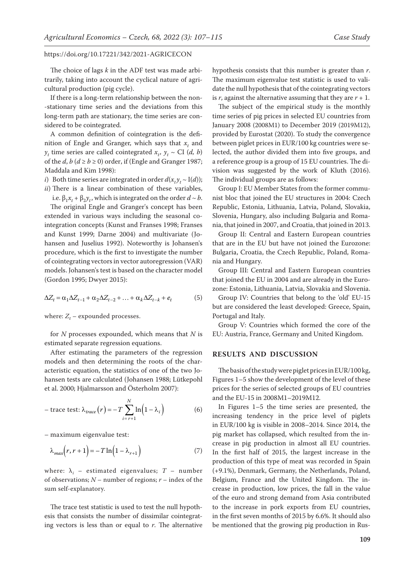The choice of lags *k* in the ADF test was made arbitrarily, taking into account the cyclical nature of agricultural production (pig cycle).

If there is a long-term relationship between the non- -stationary time series and the deviations from this long-term path are stationary, the time series are considered to be cointegrated.

A common definition of cointegration is the definition of Engle and Granger, which says that  $x_t$  and  $y_t$  time series are called cointegrated  $x_t$ ,  $y_t \sim$  CI (*d*, *b*) of the *d*,  $b$  ( $d \ge b \ge 0$ ) order, if (Engle and Granger 1987; Maddala and Kim 1998):

*i*) Both time series are integrated in order  $d(x_t y_t \sim I(d))$ ; *ii*) There is a linear combination of these variables,

i.e.  $\beta_1 x_t + \beta_2 y_t$ , which is integrated on the order *d* ~ *b*. The original Engle and Granger's concept has been extended in various ways including the seasonal cointegration concepts (Kunst and Franses 1998; Franses and Kunst 1999; Darne 2004) and multivariate (Johansen and Juselius 1992). Noteworthy is Johansen's procedure, which is the first to investigate the number of cointegrating vectors in vector autoregression (VAR) models. Johansen's test is based on the character model (Gordon 1995; Dwyer 2015):

$$
\Delta Z_t = \alpha_1 \Delta Z_{t-1} + \alpha_2 \Delta Z_{t-2} + \ldots + \alpha_k \Delta Z_{t-k} + e_t \tag{5}
$$

where:  $Z_t$  – expounded processes.

for *N* processes expounded, which means that *N* is estimated separate regression equations.

After estimating the parameters of the regression models and then determining the roots of the characteristic equation, the statistics of one of the two Johansen tests are calculated (Johansen 1988; Lütkepohl et al. 2000; Hjalmarsson and Österholm 2007):

$$
-\text{trace test: }\lambda_{trace}(r) = -T\sum_{i=r+1}^{N}\ln(1-\lambda_i) \tag{6}
$$

– maximum eigenvalue test:

$$
\lambda_{max}\left(r, r+1\right) = -T \ln\left(1 - \lambda_{r+1}\right) \tag{7}
$$

where:  $\lambda_i$  – estimated eigenvalues;  $T$  – number of observations;  $N$  – number of regions;  $r$  – index of the sum self-explanatory.

The trace test statistic is used to test the null hypothesis that consists the number of dissimilar cointegrating vectors is less than or equal to *r*. The alternative

hypothesis consists that this number is greater than *r*. The maximum eigenvalue test statistic is used to validate the null hypothesis that of the cointegrating vectors is  $r$ , against the alternative assuming that they are  $r + 1$ .

The subject of the empirical study is the monthly time series of pig prices in selected EU countries from January 2008 (2008M1) to December 2019 (2019M12), provided by Eurostat (2020). To study the convergence between piglet prices in EUR/100 kg countries were selected, the author divided them into five groups, and a reference group is a group of 15 EU countries. The division was suggested by the work of Kluth (2016). The individual groups are as follows:

Group I: EU Member States from the former communist bloc that joined the EU structures in 2004: Czech Republic, Estonia, Lithuania, Latvia, Poland, Slovakia, Slovenia, Hungary, also including Bulgaria and Romania, that joined in 2007, and Croatia, that joined in 2013.

Group II: Central and Eastern European countries that are in the EU but have not joined the Eurozone: Bulgaria, Croatia, the Czech Republic, Poland, Romania and Hungary.

Group III: Central and Eastern European countries that joined the EU in 2004 and are already in the Eurozone: Estonia, Lithuania, Latvia, Slovakia and Slovenia.

Group IV: Countries that belong to the 'old' EU-15 but are considered the least developed: Greece, Spain, Portugal and Italy.

Group V: Countries which formed the core of the EU: Austria, France, Germany and United Kingdom.

## **RESULTS AND DISCUSSION**

The basis of the study were piglet prices in EUR/100 kg, Figures 1–5 show the development of the level of these prices for the series of selected groups of EU countries and the EU-15 in 2008M1–2019M12.

In Figures 1–5 the time series are presented, the increasing tendency in the price level of piglets in EUR/100 kg is visible in 2008–2014. Since 2014, the pig market has collapsed, which resulted from the increase in pig production in almost all EU countries. In the first half of 2015, the largest increase in the production of this type of meat was recorded in Spain (+9.1%), Denmark, Germany, the Netherlands, Poland, Belgium, France and the United Kingdom. The increase in production, low prices, the fall in the value of the euro and strong demand from Asia contributed to the increase in pork exports from EU countries, in the first seven months of 2015 by 6.6%. It should also be mentioned that the growing pig production in Rus-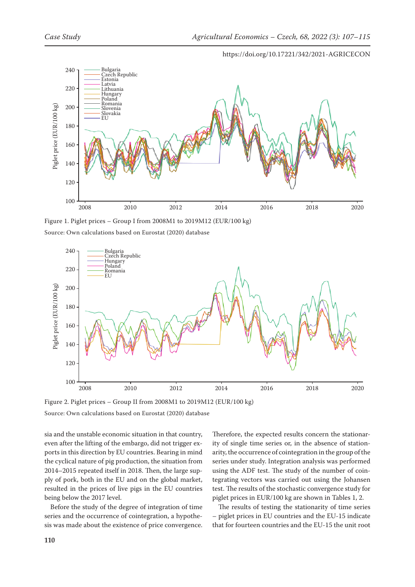

https://doi.org/10.17221/342/2021-AGRICECON

Figure 1. Piglet prices – Group I from 2008M1 to 2019M12 (EUR/100 kg) Source: Own calculations based on Eurostat (2020) database



Figure 2. Piglet prices – Group II from 2008M1 to 2019M12 (EUR/100 kg) Source: Own calculations based on Eurostat (2020) database

sia and the unstable economic situation in that country, even after the lifting of the embargo, did not trigger exports in this direction by EU countries. Bearing in mind the cyclical nature of pig production, the situation from 2014–2015 repeated itself in 2018. Then, the large supply of pork, both in the EU and on the global market, resulted in the prices of live pigs in the EU countries

Before the study of the degree of integration of time series and the occurrence of cointegration, a hypothesis was made about the existence of price convergence.

Therefore, the expected results concern the stationarity of single time series or, in the absence of stationarity, the occurrence of cointegration in the group of the series under study. Integration analysis was performed using the ADF test. The study of the number of cointegrating vectors was carried out using the Johansen test. The results of the stochastic convergence study for piglet prices in EUR/100 kg are shown in Tables 1, 2.

The results of testing the stationarity of time series – piglet prices in EU countries and the EU-15 indicate that for fourteen countries and the EU-15 the unit root

being below the 2017 level.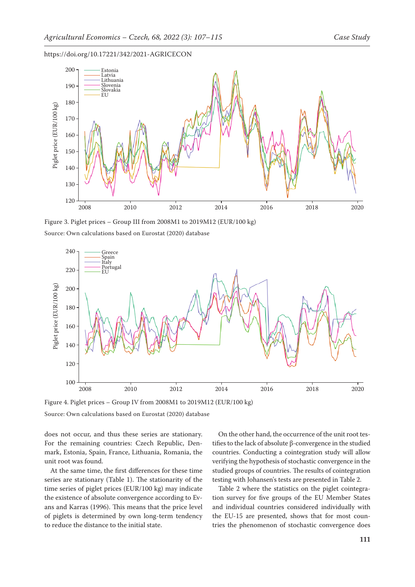

Figure 3. Piglet prices – Group III from 2008M1 to 2019M12 (EUR/100 kg) Source: Own calculations based on Eurostat (2020) database



Figure 4. Piglet prices – Group IV from 2008M1 to 2019M12 (EUR/100 kg) Source: Own calculations based on Eurostat (2020) database

does not occur, and thus these series are stationary. For the remaining countries: Czech Republic, Denmark, Estonia, Spain, France, Lithuania, Romania, the unit root was found.

At the same time, the first differences for these time series are stationary (Table 1). The stationarity of the time series of piglet prices (EUR/100 kg) may indicate the existence of absolute convergence according to Evans and Karras (1996). This means that the price level of piglets is determined by own long-term tendency to reduce the distance to the initial state.

On the other hand, the occurrence of the unit root testifies to the lack of absolute β-convergence in the studied countries. Conducting a cointegration study will allow verifying the hypothesis of stochastic convergence in the studied groups of countries. The results of cointegration testing with Johansen's tests are presented in Table 2.

Table 2 where the statistics on the piglet cointegration survey for five groups of the EU Member States and individual countries considered individually with the EU-15 are presented, shows that for most countries the phenomenon of stochastic convergence does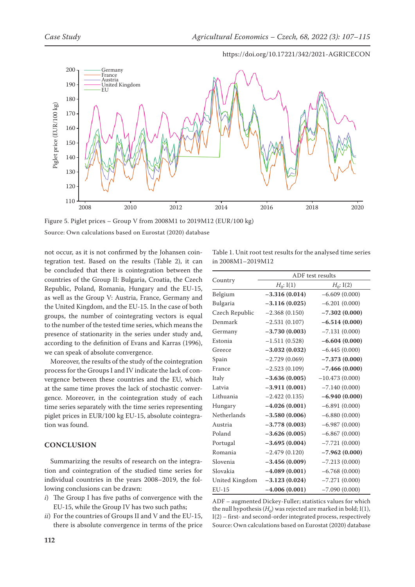

https://doi.org/10.17221/342/2021-AGRICECON

Source: Own calculations based on Eurostat (2020) database

not occur, as it is not confirmed by the Johansen cointegration test. Based on the results (Table 2), it can be concluded that there is cointegration between the countries of the Group II: Bulgaria, Croatia, the Czech Republic, Poland, Romania, Hungary and the EU-15, as well as the Group V: Austria, France, Germany and the United Kingdom, and the EU-15. In the case of both groups, the number of cointegrating vectors is equal to the number of the tested time series, which means the presence of stationarity in the series under study and, according to the definition of Evans and Karras (1996), we can speak of absolute convergence.

Moreover, the results of the study of the cointegration process for the Groups I and IV indicate the lack of convergence between these countries and the EU, which at the same time proves the lack of stochastic convergence. Moreover, in the cointegration study of each time series separately with the time series representing piglet prices in EUR/100 kg EU-15, absolute cointegration was found.

## **CONCLUSION**

Summarizing the results of research on the integration and cointegration of the studied time series for individual countries in the years 2008–2019, the following conclusions can be drawn:

- *i*) The Group I has five paths of convergence with the EU-15, while the Group IV has two such paths;
- *ii*) For the countries of Groups II and V and the EU-15, there is absolute convergence in terms of the price

Table 1. Unit root test results for the analysed time series in 2008M1–2019M12

|                | ADF test results |                  |  |  |
|----------------|------------------|------------------|--|--|
| Country        | $H_0: I(1)$      | $H_0: I(2)$      |  |  |
| Belgium        | $-3.316(0.014)$  | $-6.609(0.000)$  |  |  |
| Bulgaria       | $-3.116(0.025)$  | $-6.201(0.000)$  |  |  |
| Czech Republic | $-2.368(0.150)$  | $-7.302(0.000)$  |  |  |
| Denmark        | $-2.531(0.107)$  | $-6.514(0.000)$  |  |  |
| Germany        | $-3.730(0.003)$  | $-7.131(0.000)$  |  |  |
| Estonia        | $-1.511(0.528)$  | $-6.604(0.000)$  |  |  |
| Greece         | $-3.032(0.032)$  | $-6.445(0.000)$  |  |  |
| Spain          | $-2.729(0.069)$  | $-7.373(0.000)$  |  |  |
| France         | $-2.523(0.109)$  | $-7.466(0.000)$  |  |  |
| Italy          | $-3.636(0.005)$  | $-10.473(0.000)$ |  |  |
| Latvia         | $-3.911(0.001)$  | $-7.140(0.000)$  |  |  |
| Lithuania      | $-2.422(0.135)$  | $-6.940(0.000)$  |  |  |
| Hungary        | $-4.026(0.001)$  | $-6.891(0.000)$  |  |  |
| Netherlands    | $-3.580(0.006)$  | $-6.880(0.000)$  |  |  |
| Austria        | $-3.778(0.003)$  | $-6.987(0.000)$  |  |  |
| Poland         | $-3.626(0.005)$  | $-6.867(0.000)$  |  |  |
| Portugal       | $-3.695(0.004)$  | $-7.721(0.000)$  |  |  |
| Romania        | $-2.479(0.120)$  | $-7.962(0.000)$  |  |  |
| Slovenia       | $-3.456(0.009)$  | $-7.213(0.000)$  |  |  |
| Slovakia       | $-4.089(0.001)$  | $-6.768(0.000)$  |  |  |
| United Kingdom | $-3.123(0.024)$  | $-7.271(0.000)$  |  |  |
| $EU-15$        | $-4.006(0.001)$  | $-7.090(0.000)$  |  |  |

ADF – augmented Dickey-Fuller; statistics values for which the null hypothesis  $(H_0)$  was rejected are marked in bold; I(1), I(2) – first- and second-order integrated process, respectively Source: Own calculations based on Eurostat (2020) database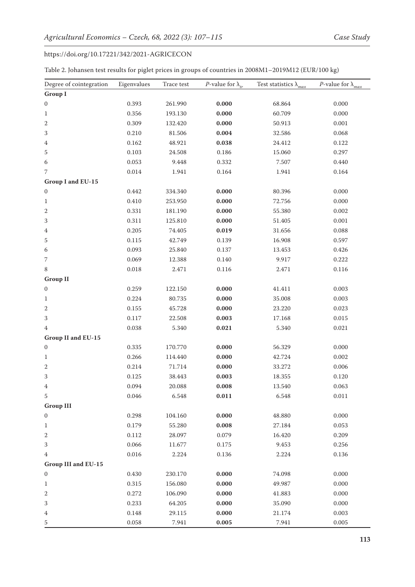| Table 2. Johansen test results for piglet prices in groups of countries in 2008M1-2019M12 (EUR/100 kg) |  |
|--------------------------------------------------------------------------------------------------------|--|
|--------------------------------------------------------------------------------------------------------|--|

| Degree of cointegration    | Eigenvalues | Trace test | <i>P</i> -value for $\lambda_{tr}$ | Test statistics $\lambda_{max}$ | <i>P</i> -value for $\lambda_{max}$ |
|----------------------------|-------------|------------|------------------------------------|---------------------------------|-------------------------------------|
| <b>Group I</b>             |             |            |                                    |                                 |                                     |
| $\boldsymbol{0}$           | 0.393       | 261.990    | 0.000                              | 68.864                          | 0.000                               |
| $\mathbf{1}$               | 0.356       | 193.130    | 0.000                              | 60.709                          | 0.000                               |
| $\,2$                      | 0.309       | 132.420    | 0.000                              | 50.913                          | 0.001                               |
| 3                          | 0.210       | 81.506     | 0.004                              | 32.586                          | 0.068                               |
| $\overline{4}$             | 0.162       | 48.921     | 0.038                              | 24.412                          | 0.122                               |
| 5                          | 0.103       | 24.508     | 0.186                              | 15.060                          | 0.297                               |
| 6                          | 0.053       | 9.448      | 0.332                              | 7.507                           | 0.440                               |
| $\overline{7}$             | 0.014       | 1.941      | 0.164                              | 1.941                           | 0.164                               |
| Group I and EU-15          |             |            |                                    |                                 |                                     |
| $\boldsymbol{0}$           | 0.442       | 334.340    | 0.000                              | 80.396                          | 0.000                               |
| $\mathbf{1}$               | 0.410       | 253.950    | 0.000                              | 72.756                          | 0.000                               |
| $\mathbf{2}$               | 0.331       | 181.190    | 0.000                              | 55.380                          | 0.002                               |
| 3                          | 0.311       | 125.810    | 0.000                              | 51.405                          | 0.001                               |
| 4                          | 0.205       | 74.405     | 0.019                              | 31.656                          | 0.088                               |
| 5                          | 0.115       | 42.749     | 0.139                              | 16.908                          | 0.597                               |
| 6                          | 0.093       | 25.840     | 0.137                              | 13.453                          | 0.426                               |
| $\overline{7}$             | 0.069       | 12.388     | 0.140                              | 9.917                           | 0.222                               |
| $\,8\,$                    | 0.018       | 2.471      | 0.116                              | 2.471                           | 0.116                               |
| <b>Group II</b>            |             |            |                                    |                                 |                                     |
| $\boldsymbol{0}$           | 0.259       | 122.150    | 0.000                              | 41.411                          | 0.003                               |
| $\mathbf{1}$               | 0.224       | 80.735     | 0.000                              | 35.008                          | 0.003                               |
| $\sqrt{2}$                 | 0.155       | 45.728     | 0.000                              | 23.220                          | 0.023                               |
| 3                          | 0.117       | 22.508     | 0.003                              | 17.168                          | 0.015                               |
| $\overline{4}$             | 0.038       | 5.340      | 0.021                              | 5.340                           | 0.021                               |
| Group II and EU-15         |             |            |                                    |                                 |                                     |
| $\boldsymbol{0}$           | 0.335       | 170.770    | 0.000                              | 56.329                          | 0.000                               |
| 1                          | 0.266       | 114.440    | 0.000                              | 42.724                          | 0.002                               |
| $\sqrt{2}$                 | 0.214       | 71.714     | 0.000                              | 33.272                          | 0.006                               |
| 3                          | 0.125       | 38.443     | 0.003                              | 18.355                          | 0.120                               |
| $\overline{4}$             | 0.094       | 20.088     | 0.008                              | 13.540                          | 0.063                               |
| $\mathbf 5$                | 0.046       | 6.548      | 0.011                              | 6.548                           | 0.011                               |
| <b>Group III</b>           |             |            |                                    |                                 |                                     |
| $\boldsymbol{0}$           | 0.298       | 104.160    | 0.000                              | 48.880                          | 0.000                               |
| 1                          | 0.179       | 55.280     | 0.008                              | 27.184                          | 0.053                               |
| $\boldsymbol{2}$           | 0.112       | 28.097     | 0.079                              | 16.420                          | 0.209                               |
| 3                          | 0.066       | 11.677     | 0.175                              | 9.453                           | 0.256                               |
| 4                          | 0.016       | 2.224      | 0.136                              | 2.224                           | 0.136                               |
| <b>Group III and EU-15</b> |             |            |                                    |                                 |                                     |
| $\boldsymbol{0}$           | 0.430       | 230.170    | 0.000                              | 74.098                          | 0.000                               |
| 1                          | 0.315       | 156.080    | 0.000                              | 49.987                          | 0.000                               |
| $\sqrt{2}$                 | 0.272       | 106.090    | 0.000                              | 41.883                          | 0.000                               |
| 3                          | 0.233       | 64.205     | 0.000                              | 35.090                          | 0.000                               |
| $\overline{4}$             | 0.148       | 29.115     | 0.000                              | 21.174                          | 0.003                               |
| 5                          | 0.058       | 7.941      | 0.005                              | 7.941                           | 0.005                               |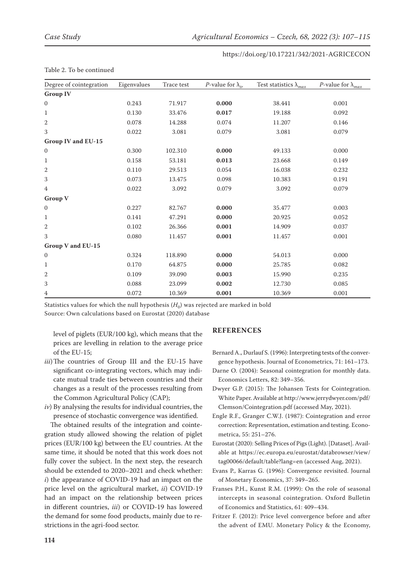| Degree of cointegration  | Eigenvalues | Trace test | <i>P</i> -value for $\lambda_{tr}$ | Test statistics $\lambda_{max}$ | <i>P</i> -value for $\lambda_{max}$ |
|--------------------------|-------------|------------|------------------------------------|---------------------------------|-------------------------------------|
| <b>Group IV</b>          |             |            |                                    |                                 |                                     |
| $\mathbf{0}$             | 0.243       | 71.917     | 0.000                              | 38.441                          | 0.001                               |
| 1                        | 0.130       | 33.476     | 0.017                              | 19.188                          | 0.092                               |
| $\mathbf{2}$             | 0.078       | 14.288     | 0.074                              | 11.207                          | 0.146                               |
| $\sqrt{3}$               | 0.022       | 3.081      | 0.079                              | 3.081                           | 0.079                               |
| Group IV and EU-15       |             |            |                                    |                                 |                                     |
| $\mathbf{0}$             | 0.300       | 102.310    | 0.000                              | 49.133                          | 0.000                               |
| $\mathbf{1}$             | 0.158       | 53.181     | 0.013                              | 23.668                          | 0.149                               |
| $\mathbf{2}$             | 0.110       | 29.513     | 0.054                              | 16.038                          | 0.232                               |
| 3                        | 0.073       | 13.475     | 0.098                              | 10.383                          | 0.191                               |
| $\overline{4}$           | 0.022       | 3.092      | 0.079                              | 3.092                           | 0.079                               |
| <b>Group V</b>           |             |            |                                    |                                 |                                     |
| $\mathbf{0}$             | 0.227       | 82.767     | 0.000                              | 35.477                          | 0.003                               |
| $\mathbf{1}$             | 0.141       | 47.291     | 0.000                              | 20.925                          | 0.052                               |
| $\mathbf{2}$             | 0.102       | 26.366     | 0.001                              | 14.909                          | 0.037                               |
| 3                        | 0.080       | 11.457     | 0.001                              | 11.457                          | 0.001                               |
| <b>Group V and EU-15</b> |             |            |                                    |                                 |                                     |
| $\mathbf{0}$             | 0.324       | 118.890    | 0.000                              | 54.013                          | 0.000                               |
| $\mathbf{1}$             | 0.170       | 64.875     | 0.000                              | 25.785                          | 0.082                               |
| $\overline{2}$           | 0.109       | 39.090     | 0.003                              | 15.990                          | 0.235                               |
| 3                        | 0.088       | 23.099     | 0.002                              | 12.730                          | 0.085                               |
| 4                        | 0.072       | 10.369     | 0.001                              | 10.369                          | 0.001                               |

#### Table 2. To be continued

Statistics values for which the null hypothesis  $(H_0)$  was rejected are marked in bold Source: Own calculations based on Eurostat (2020) database

level of piglets (EUR/100 kg), which means that the prices are levelling in relation to the average price of the EU-15;

- *iii*)The countries of Group III and the EU-15 have significant co-integrating vectors, which may indicate mutual trade ties between countries and their changes as a result of the processes resulting from the Common Agricultural Policy (CAP);
- *iv*) By analysing the results for individual countries, the presence of stochastic convergence was identified.

The obtained results of the integration and cointegration study allowed showing the relation of piglet prices (EUR/100 kg) between the EU countries. At the same time, it should be noted that this work does not fully cover the subject. In the next step, the research should be extended to 2020–2021 and check whether: *i*) the appearance of COVID-19 had an impact on the price level on the agricultural market, *ii*) COVID-19 had an impact on the relationship between prices in different countries, *iii*) or COVID-19 has lowered the demand for some food products, mainly due to restrictions in the agri-food sector.

## **REFERENCES**

Bernard A., Durlauf S. (1996): Interpreting tests of the convergence hypothesis. Journal of Econometrics, 71: 161–173.

- Darne O. (2004): Seasonal cointegration for monthly data. Economics Letters, 82: 349–356.
- Dwyer G.P. (2015): The Johansen Tests for Cointegration. White Paper. Available at [http://www.jerrydwyer.com/pdf/](http://www.jerrydwyer.com/pdf/Clemson/Cointegration.pdf) [Clemson/Cointegration.pdf](http://www.jerrydwyer.com/pdf/Clemson/Cointegration.pdf) (accessed May, 2021).
- Engle R.F., Granger C.W.J. (1987): Cointegration and error correction: Representation, estimation and testing. Econometrica, 55: 251–276.
- Eurostat (2020): Selling Prices of Pigs (Light). [Dataset]. Available at [https://ec.europa.eu/eurostat/databrowser/view/](https://ec.europa.eu/eurostat/databrowser/view/tag00066/default/table?lang=en) [tag00066/default/table?lang=en](https://ec.europa.eu/eurostat/databrowser/view/tag00066/default/table?lang=en) (accessed Aug, 2021).
- Evans P., Karras G. (1996): Convergence revisited. Journal of Monetary Economics, 37: 349–265.
- Franses P.H., Kunst R.M. (1999): On the role of seasonal intercepts in seasonal cointegration. Oxford Bulletin of Economics and Statistics, 61: 409–434.
- Fritzer F. (2012): Price level convergence before and after the advent of EMU. Monetary Policy & the Economy,